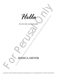

*for solo viola and loop pedal*

## JESSICA MEYER

For perusal only. Performance materials must be purchased via www.jessicameyermusic.com. Unauthorized reproduction or distribution is strictly prohibited.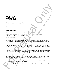*Hello*

*for solo viola and loop pedal*

**5'**

## **PROGRAM NOTE**

This piece is about that warm and fuzzy feeling you have when you are spending time with a person and they shift from just being someone you know to something more meaningful. Nothing is particularly said, but the connection is clearly felt.

## **INSTRUCTIONS**

- This piece was written with a Boss Loop Station RC-20XL Phrase Recorder and a DPA 4099V Clip Microphone. However, the piece could be performed on any loop pedal that can start and stop playback, and loop an 8 beat phrase.

-The mic should amplify the natural resonance of the viola (I don't think stick-on contact mics would work, but feel free to try them). We want to be able to capture the more fragile and wispy sul tasto sounds.

**Performance materials must be purchased via which the purchase materials must be purchased via which a purchase material with a person of the sound of purchase materials must be purchased via with a person to purchase a c For Solution and the Control of the Control of the Control of the Control of the Control of the Control only the Control of the Control only the Control only the Control only the Control only the Control only the Control** - To record, press the left pedal down. When you press it again, whatever you just played will have been recorded by the machine, for the exact length of time between pedal presses, and will start to repeat over and over again. Repeat the process to add layers. Each new layer of material is marked by a rehearsal #.

-For this piece, your subdivisions need to be exact in order for all of the counterpoint to work, so practice with a metronome a handful of times before attempting to play with the looper.

- To stop the playback, touch the right pedal. To clear all the sounds from the memory bank, hold the right pedal down for a few seconds to erase.

- When it is marked "solo" it means that you are not recording and are just playing along with the loops.